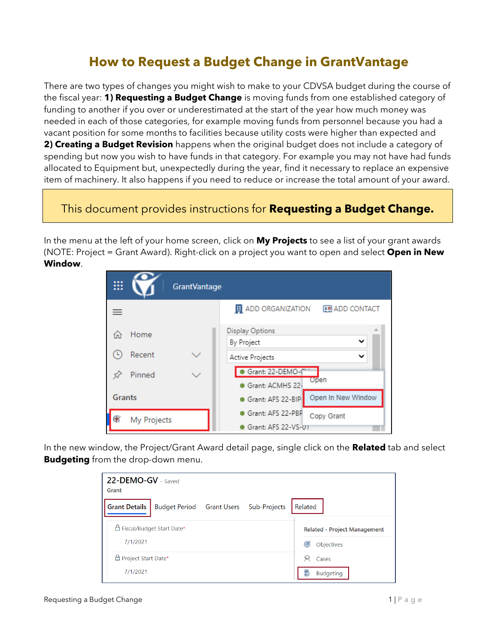## **How to Request a Budget Change in GrantVantage**

There are two types of changes you might wish to make to your CDVSA budget during the course of the fiscal year: **1) Requesting a Budget Change** is moving funds from one established category of funding to another if you over or underestimated at the start of the year how much money was needed in each of those categories, for example moving funds from personnel because you had a vacant position for some months to facilities because utility costs were higher than expected and **2) Creating a Budget Revision** happens when the original budget does not include a category of spending but now you wish to have funds in that category. For example you may not have had funds allocated to Equipment but, unexpectedly during the year, find it necessary to replace an expensive item of machinery. It also happens if you need to reduce or increase the total amount of your award.

## This document provides instructions for **Requesting a Budget Change.**

In the menu at the left of your home screen, click on **My Projects** to see a list of your grant awards (NOTE: Project = Grant Award). Right-click on a project you want to open and select **Open in New Window**.

|               |             | <b>GrantVantage</b> |                                                    |
|---------------|-------------|---------------------|----------------------------------------------------|
|               |             |                     | <b>EL</b> ADD ORGANIZATION<br><b>图 ADD CONTACT</b> |
|               | Home        |                     | Display Options                                    |
|               |             |                     | By Project                                         |
|               | Recent      |                     | Active Projects                                    |
|               | Pinned      |                     | Grant: 22-DEMO-C                                   |
|               |             |                     | Open<br>Grant: ACMHS 22-                           |
| <b>Grants</b> |             |                     | Open In New Window<br>Grant: AFS 22-BIP.           |
|               | My Projects |                     | Grant: AFS 22-PBF<br>Copy Grant                    |
|               |             |                     | Grant: AFS 22-VS-01                                |

In the new window, the Project/Grant Award detail page, single click on the **Related** tab and select **Budgeting** from the drop-down menu.

| 22-DEMO-GV - Saved<br>Grant                                    |                                                        |  |  |  |  |
|----------------------------------------------------------------|--------------------------------------------------------|--|--|--|--|
| Budget Period Grant Users Sub-Projects<br><b>Grant Details</b> | Related                                                |  |  |  |  |
| □ Fiscal/Budget Start Date*<br>7/1/2021                        | <b>Related - Project Management</b><br>෯<br>Objectives |  |  |  |  |
| □ Project Start Date*<br>7/1/2021                              | 臾<br>Cases<br>₹<br><b>Budgeting</b>                    |  |  |  |  |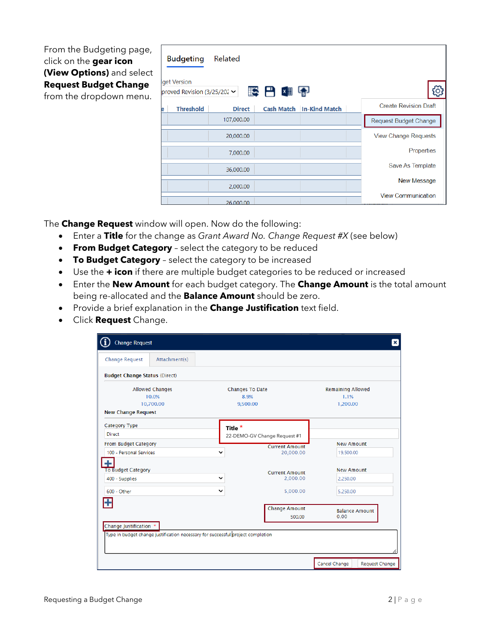From the Budgeting page, click on the **gear icon (View Options)** and select **Request Budget Change** from the dropdown menu.

|   | <b>Budgeting</b><br>get Version<br>proved Revision (3/25/202 $\sim$ | Related       | <b>IS FIX IS</b> |                                 |                              |
|---|---------------------------------------------------------------------|---------------|------------------|---------------------------------|------------------------------|
| е | <b>Threshold</b>                                                    | <b>Direct</b> |                  | <b>Cash Match In-Kind Match</b> | <b>Create Revision Draft</b> |
|   |                                                                     | 107,000.00    |                  |                                 | Request Budget Change        |
|   |                                                                     | 20,000.00     |                  |                                 | <b>View Change Requests</b>  |
|   |                                                                     | 7,000.00      |                  |                                 | Properties                   |
|   |                                                                     | 36,000.00     |                  |                                 | Save As Template             |
|   |                                                                     | 2,000.00      |                  |                                 | New Message                  |
|   |                                                                     | 26,000,00     |                  |                                 | <b>View Communication</b>    |

The **Change Request** window will open. Now do the following:

- Enter a **Title** for the change as *Grant Award No. Change Request #X* (see below)
- **From Budget Category** select the category to be reduced
- **To Budget Category** select the category to be increased
- Use the **+ icon** if there are multiple budget categories to be reduced or increased
- Enter the **New Amount** for each budget category. The **Change Amount** is the total amount being re-allocated and the **Balance Amount** should be zero.
- Provide a brief explanation in the **Change Justification** text field.
- Click **Request** Change.

| <b>Budget Change Status (Direct)</b>                                            |                              |                          |  |  |
|---------------------------------------------------------------------------------|------------------------------|--------------------------|--|--|
| <b>Allowed Changes</b>                                                          | Changes To Date              | <b>Remaining Allowed</b> |  |  |
| 10.0%                                                                           | 8.9%                         | 1.1%                     |  |  |
| 10,700.00                                                                       | 9,500.00                     | 1,200.00                 |  |  |
| <b>New Change Request</b>                                                       |                              |                          |  |  |
| Category Type                                                                   | Title $*$                    |                          |  |  |
| <b>Direct</b>                                                                   | 22-DEMO-GV Change Request #1 |                          |  |  |
| <b>From Budget Category</b>                                                     | <b>Current Amount</b>        | New Amount               |  |  |
| 100 - Personal Services                                                         | 20,000.00<br>$\checkmark$    | 19,500.00                |  |  |
|                                                                                 |                              |                          |  |  |
| <b>To Budget Category</b>                                                       | <b>Current Amount</b>        | <b>New Amount</b>        |  |  |
| 400 - Supplies                                                                  | 2,000.00<br>$\checkmark$     | 2.250.00                 |  |  |
| 600 - Other                                                                     | 5.000.00<br>$\checkmark$     | 5.250.00                 |  |  |
| H                                                                               | <b>Change Amount</b>         | <b>Balance Amount</b>    |  |  |
|                                                                                 | 500.00                       | 0.00                     |  |  |
| Change Justification *                                                          |                              |                          |  |  |
| Type in budget change justification necessary for successful project completion |                              |                          |  |  |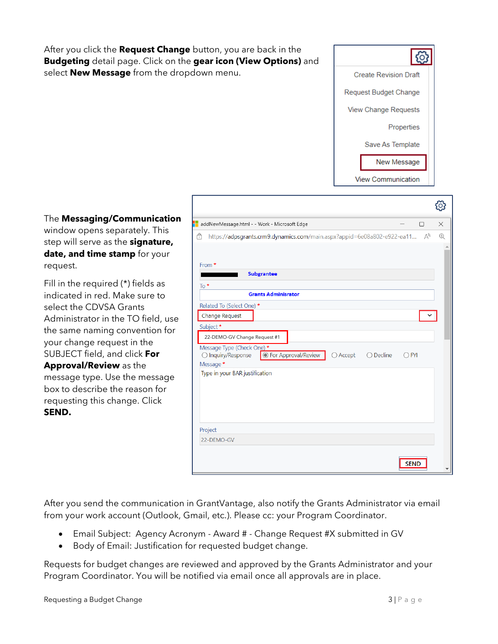After you click the **Request Change** button, you are back in the **Budgeting** detail page. Click on the **gear icon (View Options)** and select **New Message** from the dropdown menu.



 $\sim$ 

The **Messaging/Communication** window opens separately. This step will serve as the **signature, date, and time stamp** for your request.

Fill in the required (\*) fields as indicated in red. Make sure to select the CDVSA Grants Administrator in the TO field, use the same naming convention for your change request in the SUBJECT field, and click **For Approval/Review** as the message type. Use the message

box to describe the reason for requesting this change. Click **SEND.** 

|                                                                                                       | ೞ                                     |
|-------------------------------------------------------------------------------------------------------|---------------------------------------|
| addNewMessage.html - - Work - Microsoft Edge                                                          | $\times$<br>$\Box$                    |
| A<br>https://adpsgrants.crm9.dynamics.com/main.aspx?appid=6e08a802-e922-ea11                          | $\forall_{y}$<br>$\oplus$             |
|                                                                                                       |                                       |
| From *                                                                                                |                                       |
| <b>Subgrantee</b>                                                                                     |                                       |
| To $*$                                                                                                |                                       |
| <b>Grants Adminisrator</b>                                                                            |                                       |
| Related To (Select One) *                                                                             |                                       |
| Change Request                                                                                        |                                       |
| Subject*                                                                                              |                                       |
| 22-DEMO-GV Change Request #1                                                                          |                                       |
| Message Type (Check One) *<br><b>O</b> For Approval/Review<br>◯ Inquiry/Response<br>$\bigcirc$ Accept | $\bigcirc$ Decline<br><b>FYI</b><br>( |
| Message *                                                                                             |                                       |
| Type in your BAR justification                                                                        |                                       |
|                                                                                                       |                                       |
|                                                                                                       |                                       |
|                                                                                                       |                                       |
|                                                                                                       |                                       |
| Project                                                                                               |                                       |
| 22-DEMO-GV                                                                                            |                                       |
|                                                                                                       |                                       |
|                                                                                                       | <b>SEND</b>                           |

After you send the communication in GrantVantage, also notify the Grants Administrator via email from your work account (Outlook, Gmail, etc.). Please cc: your Program Coordinator.

- Email Subject: Agency Acronym Award # Change Request #X submitted in GV
- Body of Email: Justification for requested budget change.

Requests for budget changes are reviewed and approved by the Grants Administrator and your Program Coordinator. You will be notified via email once all approvals are in place.